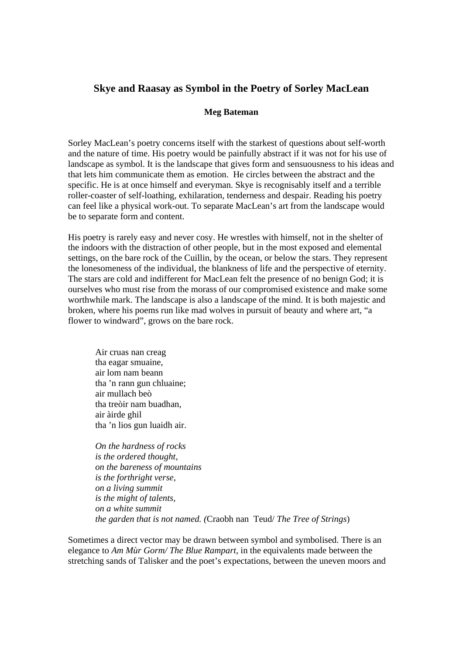## **Skye and Raasay as Symbol in the Poetry of Sorley MacLean**

## **Meg Bateman**

Sorley MacLean's poetry concerns itself with the starkest of questions about self-worth and the nature of time. His poetry would be painfully abstract if it was not for his use of landscape as symbol. It is the landscape that gives form and sensuousness to his ideas and that lets him communicate them as emotion. He circles between the abstract and the specific. He is at once himself and everyman. Skye is recognisably itself and a terrible roller-coaster of self-loathing, exhilaration, tenderness and despair. Reading his poetry can feel like a physical work-out. To separate MacLean's art from the landscape would be to separate form and content.

His poetry is rarely easy and never cosy. He wrestles with himself, not in the shelter of the indoors with the distraction of other people, but in the most exposed and elemental settings, on the bare rock of the Cuillin, by the ocean, or below the stars. They represent the lonesomeness of the individual, the blankness of life and the perspective of eternity. The stars are cold and indifferent for MacLean felt the presence of no benign God; it is ourselves who must rise from the morass of our compromised existence and make some worthwhile mark. The landscape is also a landscape of the mind. It is both majestic and broken, where his poems run like mad wolves in pursuit of beauty and where art, "a flower to windward", grows on the bare rock.

Air cruas nan creag tha eagar smuaine, air lom nam beann tha 'n rann gun chluaine; air mullach beò tha treòir nam buadhan, air àirde ghil tha 'n lios gun luaidh air.

*On the hardness of rocks is the ordered thought, on the bareness of mountains is the forthright verse, on a living summit is the might of talents, on a white summit the garden that is not named. (*Craobh nan Teud/ *The Tree of Strings*)

Sometimes a direct vector may be drawn between symbol and symbolised. There is an elegance to *Am Mùr Gorm/ The Blue Rampart*, in the equivalents made between the stretching sands of Talisker and the poet's expectations, between the uneven moors and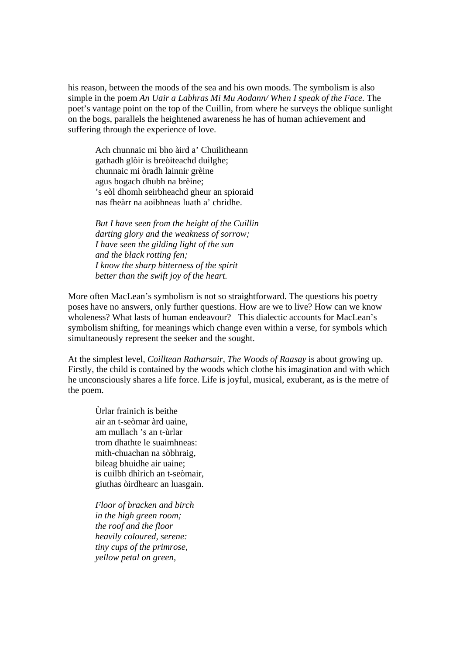his reason, between the moods of the sea and his own moods. The symbolism is also simple in the poem *An Uair a Labhras Mi Mu Aodann/ When I speak of the Face.* The poet's vantage point on the top of the Cuillin, from where he surveys the oblique sunlight on the bogs, parallels the heightened awareness he has of human achievement and suffering through the experience of love.

Ach chunnaic mi bho àird a' Chuilitheann gathadh glòir is breòiteachd duilghe; chunnaic mi òradh lainnir grèine agus bogach dhubh na brèine; 's eòl dhomh seirbheachd gheur an spioraid nas fheàrr na aoibhneas luath a' chridhe.

*But I have seen from the height of the Cuillin darting glory and the weakness of sorrow; I have seen the gilding light of the sun and the black rotting fen; I know the sharp bitterness of the spirit better than the swift joy of the heart.* 

More often MacLean's symbolism is not so straightforward. The questions his poetry poses have no answers, only further questions. How are we to live? How can we know wholeness? What lasts of human endeavour? This dialectic accounts for MacLean's symbolism shifting, for meanings which change even within a verse, for symbols which simultaneously represent the seeker and the sought.

At the simplest level, *Coilltean Ratharsair, The Woods of Raasay* is about growing up. Firstly, the child is contained by the woods which clothe his imagination and with which he unconsciously shares a life force. Life is joyful, musical, exuberant, as is the metre of the poem.

Ùrlar frainich is beithe air an t-seòmar àrd uaine, am mullach 's an t-ùrlar trom dhathte le suaimhneas: mith-chuachan na sòbhraig, bileag bhuidhe air uaine; is cuilbh dhìrich an t-seòmair, giuthas òirdhearc an luasgain.

*Floor of bracken and birch in the high green room; the roof and the floor heavily coloured, serene: tiny cups of the primrose, yellow petal on green,*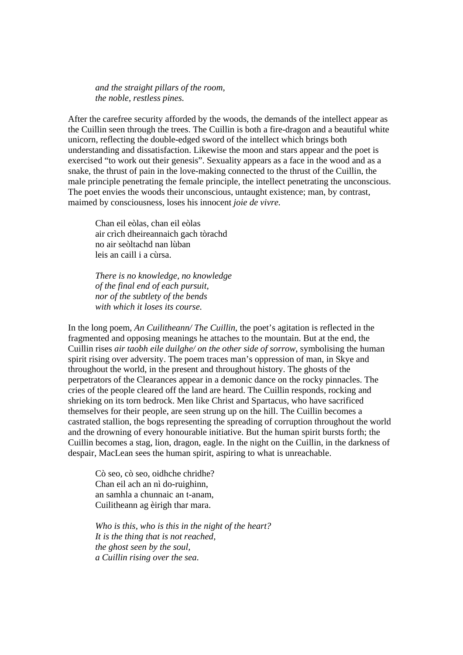*and the straight pillars of the room, the noble, restless pines.* 

After the carefree security afforded by the woods, the demands of the intellect appear as the Cuillin seen through the trees. The Cuillin is both a fire-dragon and a beautiful white unicorn, reflecting the double-edged sword of the intellect which brings both understanding and dissatisfaction. Likewise the moon and stars appear and the poet is exercised "to work out their genesis". Sexuality appears as a face in the wood and as a snake, the thrust of pain in the love-making connected to the thrust of the Cuillin, the male principle penetrating the female principle, the intellect penetrating the unconscious. The poet envies the woods their unconscious, untaught existence; man, by contrast, maimed by consciousness, loses his innocent *joie de vivre.*

Chan eil eòlas, chan eil eòlas air crìch dheireannaich gach tòrachd no air seòltachd nan lùban leis an caill i a cùrsa.

*There is no knowledge, no knowledge of the final end of each pursuit, nor of the subtlety of the bends with which it loses its course.*

In the long poem, *An Cuilitheann/ The Cuillin*, the poet's agitation is reflected in the fragmented and opposing meanings he attaches to the mountain. But at the end, the Cuillin rises *air taobh eile duilghe/ on the other side of sorrow*, symbolising the human spirit rising over adversity. The poem traces man's oppression of man, in Skye and throughout the world, in the present and throughout history. The ghosts of the perpetrators of the Clearances appear in a demonic dance on the rocky pinnacles. The cries of the people cleared off the land are heard. The Cuillin responds, rocking and shrieking on its torn bedrock. Men like Christ and Spartacus, who have sacrificed themselves for their people, are seen strung up on the hill. The Cuillin becomes a castrated stallion, the bogs representing the spreading of corruption throughout the world and the drowning of every honourable initiative. But the human spirit bursts forth; the Cuillin becomes a stag, lion, dragon, eagle. In the night on the Cuillin, in the darkness of despair, MacLean sees the human spirit, aspiring to what is unreachable.

 Cò seo, cò seo, oidhche chridhe? Chan eil ach an nì do-ruighinn, an samhla a chunnaic an t-anam, Cuilitheann ag èirigh thar mara.

*Who is this, who is this in the night of the heart? It is the thing that is not reached, the ghost seen by the soul, a Cuillin rising over the sea.*